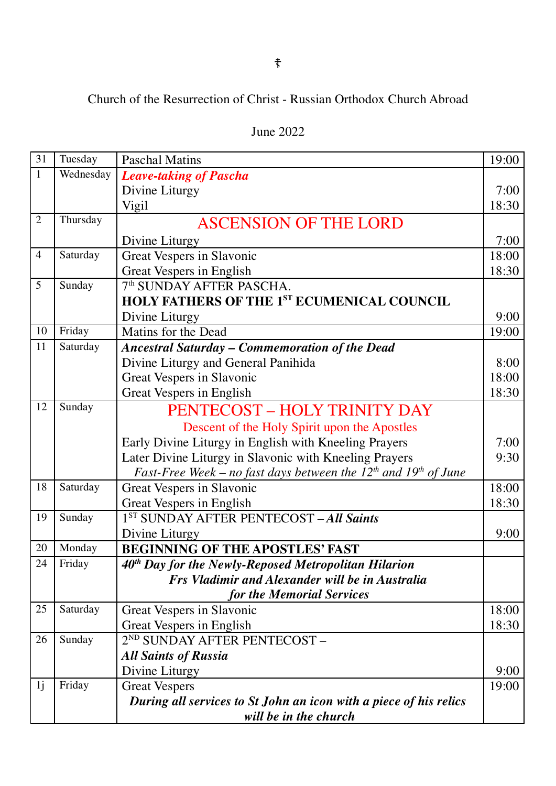## Church of the Resurrection of Christ - Russian Orthodox Church Abroad

| 31             | Tuesday   | <b>Paschal Matins</b>                                                     | 19:00 |
|----------------|-----------|---------------------------------------------------------------------------|-------|
| $\mathbf{1}$   | Wednesday | <b>Leave-taking of Pascha</b>                                             |       |
|                |           | Divine Liturgy                                                            | 7:00  |
|                |           | Vigil                                                                     | 18:30 |
| $\overline{2}$ | Thursday  | <b>ASCENSION OF THE LORD</b>                                              |       |
|                |           | Divine Liturgy                                                            | 7:00  |
| $\overline{4}$ | Saturday  | Great Vespers in Slavonic                                                 | 18:00 |
|                |           | Great Vespers in English                                                  | 18:30 |
| 5              | Sunday    | 7 <sup>th</sup> SUNDAY AFTER PASCHA.                                      |       |
|                |           | <b>HOLY FATHERS OF THE 1ST ECUMENICAL COUNCIL</b>                         |       |
|                |           | Divine Liturgy                                                            | 9:00  |
| 10             | Friday    | Matins for the Dead                                                       | 19:00 |
| 11             | Saturday  | <b>Ancestral Saturday - Commemoration of the Dead</b>                     |       |
|                |           | Divine Liturgy and General Panihida                                       | 8:00  |
|                |           | Great Vespers in Slavonic                                                 | 18:00 |
|                |           | Great Vespers in English                                                  | 18:30 |
| 12             | Sunday    | PENTECOST - HOLY TRINITY DAY                                              |       |
|                |           | Descent of the Holy Spirit upon the Apostles                              |       |
|                |           | Early Divine Liturgy in English with Kneeling Prayers                     | 7:00  |
|                |           | Later Divine Liturgy in Slavonic with Kneeling Prayers                    | 9:30  |
|                |           | Fast-Free Week – no fast days between the $12^{th}$ and $19^{th}$ of June |       |
| 18             | Saturday  | Great Vespers in Slavonic                                                 | 18:00 |
|                |           | Great Vespers in English                                                  | 18:30 |
| 19             | Sunday    | 1 <sup>ST</sup> SUNDAY AFTER PENTECOST - All Saints                       |       |
|                |           | Divine Liturgy                                                            | 9:00  |
| 20             | Monday    | <b>BEGINNING OF THE APOSTLES' FAST</b>                                    |       |
| 24             | Friday    | $40th$ Day for the Newly-Reposed Metropolitan Hilarion                    |       |
|                |           | <b>Frs Vladimir and Alexander will be in Australia</b>                    |       |
|                |           | for the Memorial Services                                                 |       |
| 25             | Saturday  | Great Vespers in Slavonic                                                 | 18:00 |
|                |           | Great Vespers in English                                                  | 18:30 |
| 26             | Sunday    | 2 <sup>ND</sup> SUNDAY AFTER PENTECOST-                                   |       |
|                |           | <b>All Saints of Russia</b>                                               |       |
|                |           | Divine Liturgy                                                            | 9:00  |
| 1j             | Friday    | <b>Great Vespers</b>                                                      | 19:00 |
|                |           | During all services to St John an icon with a piece of his relics         |       |
|                |           | will be in the church                                                     |       |

## June 2022